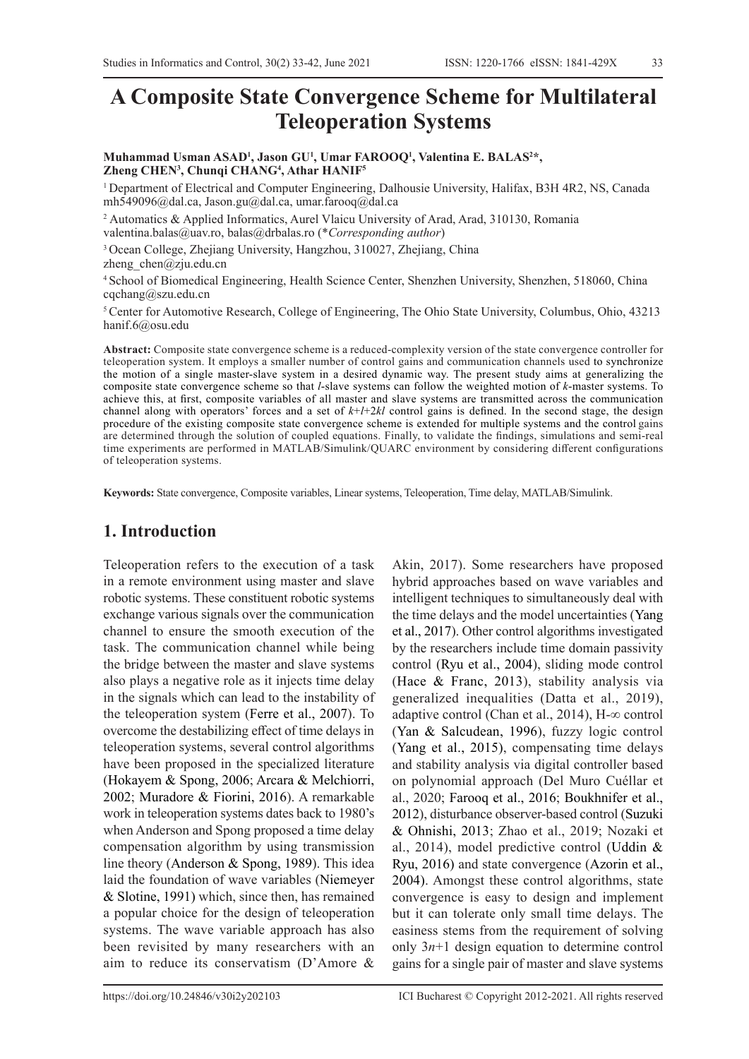# **A Composite State Convergence Scheme for Multilateral Teleoperation Systems**

Muhammad Usman ASAD<sup>1</sup>, Jason GU<sup>1</sup>, Umar FAROOQ<sup>1</sup>, Valentina E. BALAS<sup>2</sup>\*, **Zheng CHEN3 , Chunqi CHANG4 , Athar HANIF5** 

1 Department of Electrical and Computer Engineering, Dalhousie University, Halifax, B3H 4R2, NS, Canada mh549096@dal.ca, Jason.gu@dal.ca, umar.farooq@dal.ca

2 Automatics & Applied Informatics, Aurel Vlaicu University of Arad, Arad, 310130, Romania

valentina.balas@uav.ro, balas@drbalas.ro (\**Corresponding author*)

3 Ocean College, Zhejiang University, Hangzhou, 310027, Zhejiang, China

zheng chen@zju.edu.cn

4 School of Biomedical Engineering, Health Science Center, Shenzhen University, Shenzhen, 518060, China cqchang@szu.edu.cn

5 Center for Automotive Research, College of Engineering, The Ohio State University, Columbus, Ohio, 43213 hanif.6@osu.edu

**Abstract:** Composite state convergence scheme is a reduced-complexity version of the state convergence controller for teleoperation system. It employs a smaller number of control gains and communication channels used to synchronize the motion of a single master-slave system in a desired dynamic way. The present study aims at generalizing the composite state convergence scheme so that *l*-slave systems can follow the weighted motion of *k*-master systems. To achieve this, at first, composite variables of all master and slave systems are transmitted across the communication channel along with operators' forces and a set of *k*+*l*+2*kl* control gains is defined. In the second stage, the design procedure of the existing composite state convergence scheme is extended for multiple systems and the control gains are determined through the solution of coupled equations. Finally, to validate the findings, simulations and semi-real time experiments are performed in MATLAB/Simulink/QUARC environment by considering different configurations of teleoperation systems.

**Keywords:** State convergence, Composite variables, Linear systems, Teleoperation, Time delay, MATLAB/Simulink.

## **1. Introduction**

Teleoperation refers to the execution of a task in a remote environment using master and slave robotic systems. These constituent robotic systems exchange various signals over the communication channel to ensure the smooth execution of the task. The communication channel while being the bridge between the master and slave systems also plays a negative role as it injects time delay in the signals which can lead to the instability of the teleoperation system (Ferre et al., 2007). To overcome the destabilizing effect of time delays in teleoperation systems, several control algorithms have been proposed in the specialized literature (Hokayem & Spong, 2006; Arcara & Melchiorri, 2002; Muradore & Fiorini, 2016). A remarkable work in teleoperation systems dates back to 1980's when Anderson and Spong proposed a time delay compensation algorithm by using transmission line theory (Anderson & Spong, 1989). This idea laid the foundation of wave variables (Niemeyer & Slotine, 1991) which, since then, has remained a popular choice for the design of teleoperation systems. The wave variable approach has also been revisited by many researchers with an aim to reduce its conservatism (D'Amore &

Akin, 2017). Some researchers have proposed hybrid approaches based on wave variables and intelligent techniques to simultaneously deal with the time delays and the model uncertainties (Yang et al., 2017). Other control algorithms investigated by the researchers include time domain passivity control (Ryu et al., 2004), sliding mode control (Hace & Franc, 2013), stability analysis via generalized inequalities (Datta et al., 2019), adaptive control (Chan et al., 2014), H-∞ control (Yan & Salcudean, 1996), fuzzy logic control (Yang et al., 2015), compensating time delays and stability analysis via digital controller based on polynomial approach (Del Muro Cuéllar et al., 2020; Farooq et al., 2016; Boukhnifer et al., 2012), disturbance observer-based control (Suzuki & Ohnishi, 2013; Zhao et al., 2019; Nozaki et al., 2014), model predictive control (Uddin & Ryu, 2016) and state convergence (Azorin et al., 2004). Amongst these control algorithms, state convergence is easy to design and implement but it can tolerate only small time delays. The easiness stems from the requirement of solving only 3*n*+1 design equation to determine control gains for a single pair of master and slave systems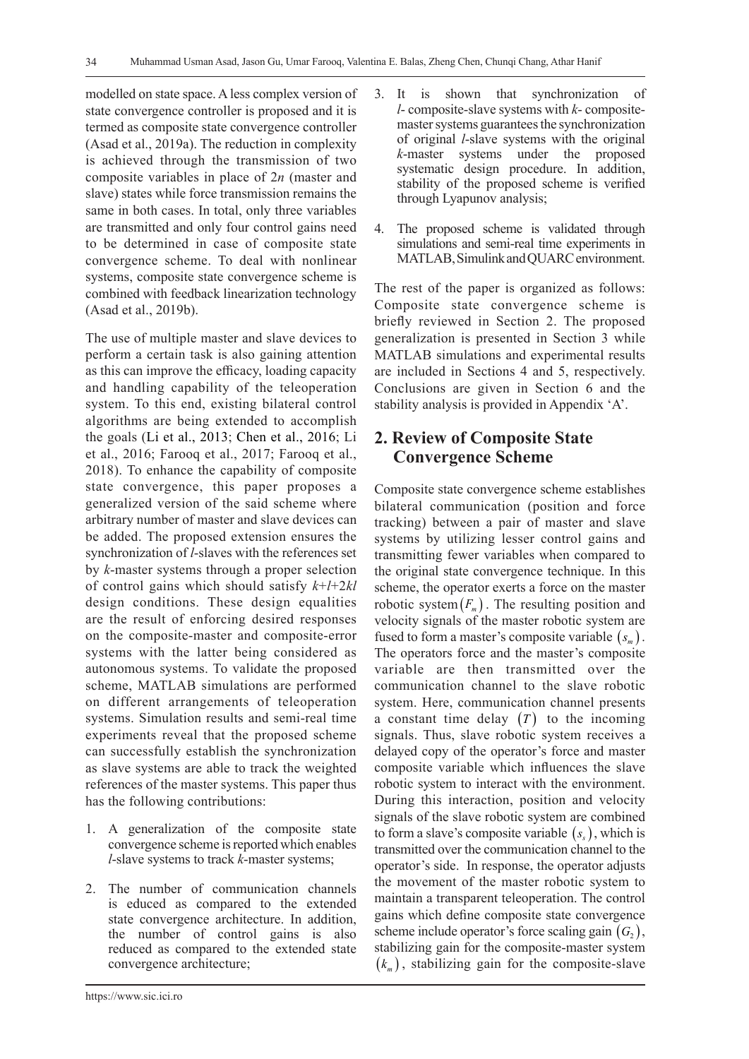modelled on state space. A less complex version of state convergence controller is proposed and it is termed as composite state convergence controller (Asad et al., 2019a). The reduction in complexity is achieved through the transmission of two composite variables in place of 2*n* (master and slave) states while force transmission remains the same in both cases. In total, only three variables are transmitted and only four control gains need to be determined in case of composite state convergence scheme. To deal with nonlinear systems, composite state convergence scheme is combined with feedback linearization technology (Asad et al., 2019b).

The use of multiple master and slave devices to perform a certain task is also gaining attention as this can improve the efficacy, loading capacity and handling capability of the teleoperation system. To this end, existing bilateral control algorithms are being extended to accomplish the goals (Li et al., 2013; Chen et al., 2016; Li et al., 2016; Farooq et al., 2017; Farooq et al., 2018). To enhance the capability of composite state convergence, this paper proposes a generalized version of the said scheme where arbitrary number of master and slave devices can be added. The proposed extension ensures the synchronization of *l*-slaves with the references set by *k*-master systems through a proper selection of control gains which should satisfy *k*+*l*+2*kl*  design conditions. These design equalities are the result of enforcing desired responses on the composite-master and composite-error systems with the latter being considered as autonomous systems. To validate the proposed scheme, MATLAB simulations are performed on different arrangements of teleoperation systems. Simulation results and semi-real time experiments reveal that the proposed scheme can successfully establish the synchronization as slave systems are able to track the weighted references of the master systems. This paper thus has the following contributions:

- 1. A generalization of the composite state convergence scheme is reported which enables *l*-slave systems to track *k*-master systems;
- 2. The number of communication channels is educed as compared to the extended state convergence architecture. In addition, the number of control gains is also reduced as compared to the extended state convergence architecture;
- 3. It is shown that synchronization of *l*- composite-slave systems with *k*- compositemaster systems guarantees the synchronization of original *l*-slave systems with the original *k*-master systems under the proposed systematic design procedure. In addition, stability of the proposed scheme is verified through Lyapunov analysis;
- 4. The proposed scheme is validated through simulations and semi-real time experiments in MATLAB, Simulink and QUARC environment.

The rest of the paper is organized as follows: Composite state convergence scheme is briefly reviewed in Section 2. The proposed generalization is presented in Section 3 while MATLAB simulations and experimental results are included in Sections 4 and 5, respectively. Conclusions are given in Section 6 and the stability analysis is provided in Appendix 'A'.

## **2. Review of Composite State Convergence Scheme**

Composite state convergence scheme establishes bilateral communication (position and force tracking) between a pair of master and slave systems by utilizing lesser control gains and transmitting fewer variables when compared to the original state convergence technique. In this scheme, the operator exerts a force on the master robotic system $(F_m)$ . The resulting position and velocity signals of the master robotic system are fused to form a master's composite variable  $(s_m)$ . The operators force and the master's composite variable are then transmitted over the communication channel to the slave robotic system. Here, communication channel presents a constant time delay  $(T)$  to the incoming signals. Thus, slave robotic system receives a delayed copy of the operator's force and master composite variable which influences the slave robotic system to interact with the environment. During this interaction, position and velocity signals of the slave robotic system are combined to form a slave's composite variable  $(s_+)$ , which is transmitted over the communication channel to the operator's side. In response, the operator adjusts the movement of the master robotic system to maintain a transparent teleoperation. The control gains which define composite state convergence scheme include operator's force scaling gain  $(G<sub>2</sub>)$ , stabilizing gain for the composite-master system  $(k_m)$ , stabilizing gain for the composite-slave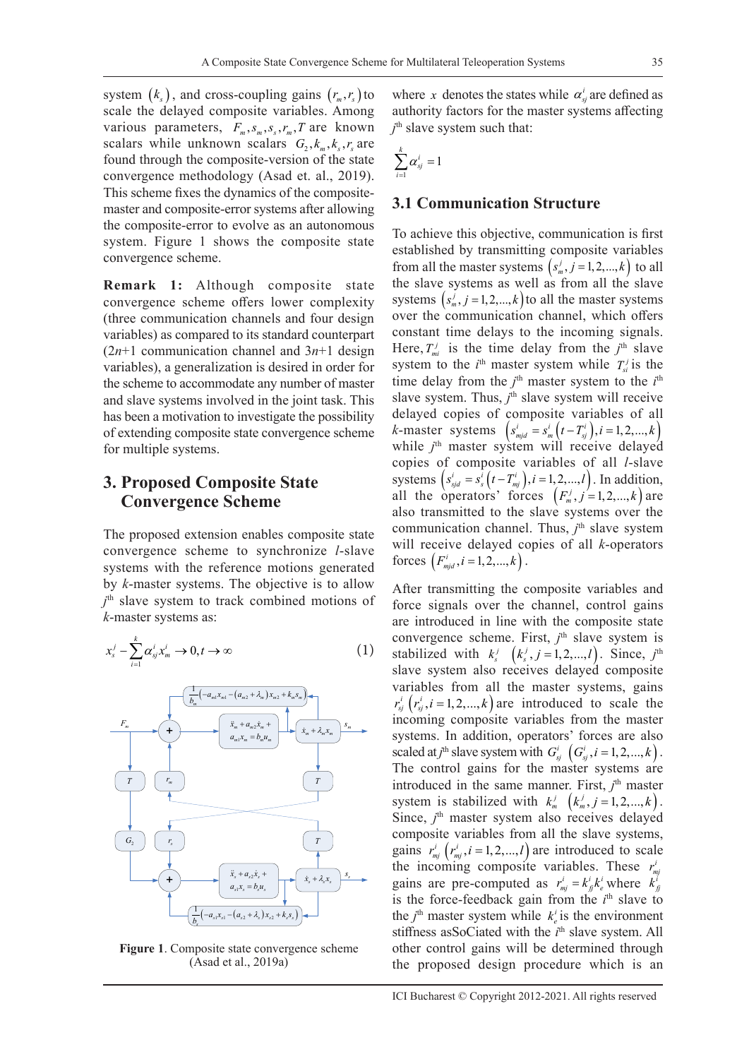system  $(k<sub>s</sub>)$ , and cross-coupling gains  $(r<sub>m</sub>, r<sub>s</sub>)$  to scale the delayed composite variables. Among various parameters,  $F_m$ ,  $S_m$ ,  $S_s$ ,  $r_m$ ,  $T$  are known scalars while unknown scalars  $G_1, k_m, k_s, r_s$  are found through the composite-version of the state convergence methodology (Asad et. al., 2019). This scheme fixes the dynamics of the compositemaster and composite-error systems after allowing the composite-error to evolve as an autonomous system. Figure 1 shows the composite state convergence scheme.

**Remark 1:** Although composite state convergence scheme offers lower complexity (three communication channels and four design variables) as compared to its standard counterpart  $(2n+1)$  communication channel and  $3n+1$  design variables), a generalization is desired in order for the scheme to accommodate any number of master and slave systems involved in the joint task. This has been a motivation to investigate the possibility of extending composite state convergence scheme for multiple systems.

## **3. Proposed Composite State Convergence Scheme**

The proposed extension enables composite state convergence scheme to synchronize *l*-slave systems with the reference motions generated by *k*-master systems. The objective is to allow *j* th slave system to track combined motions of *k*-master systems as:

$$
x_s^j - \sum_{i=1}^k \alpha_{sj}^i x_m^i \to 0, t \to \infty
$$
 (1)



**Figure 1**. Composite state convergence scheme (Asad et al., 2019a)

where *x* denotes the states while  $\alpha_{si}^{i}$  are defined as authority factors for the master systems affecting *j* th slave system such that:

$$
\sum_{i=1}^k \alpha_{sj}^i = 1
$$

#### **3.1 Communication Structure**

To achieve this objective, communication is first established by transmitting composite variables from all the master systems  $(s_m^j, j = 1, 2, ..., k)$  to all the slave systems as well as from all the slave systems  $(s_m^j, j = 1, 2, ..., k)$  to all the master systems over the communication channel, which offers constant time delays to the incoming signals. Here,  $T_{mi}^j$  is the time delay from the  $j<sup>th</sup>$  slave system to the  $i^{\text{th}}$  master system while  $T_{si}^{j}$  is the time delay from the  $j<sup>th</sup>$  master system to the  $i<sup>th</sup>$ slave system. Thus,  $j^{\text{th}}$  slave system will receive delayed copies of composite variables of all *k*-master systems  $(s_{mid}^i = s_{in}^i(t - T_{sj}^i), i = 1, 2, ..., k)$ while *j*<sup>th</sup> master system will receive delayed copies of composite variables of all *l*-slave systems  $(s_{sjd}^i = s_s^i(t - T_{mj}^i), i = 1, 2, ..., l)$ . In addition, all the operators' forces  $(F_m^j, j=1, 2, \ldots, k)$  are also transmitted to the slave systems over the communication channel. Thus,  $j<sup>th</sup>$  slave system will receive delayed copies of all *k*-operators forces  $(F_{mid}^i, i = 1, 2, ..., k)$ .

After transmitting the composite variables and force signals over the channel, control gains are introduced in line with the composite state convergence scheme. First,  $j<sup>th</sup>$  slave system is stabilized with  $k_s^j$   $(k_s^j, j = 1, 2, ..., l)$ . Since,  $j^{\text{th}}$ slave system also receives delayed composite variables from all the master systems, gains  $r_{sj}^{i}$   $(r_{sj}^{i}, i = 1, 2, ..., k)$  are introduced to scale the incoming composite variables from the master systems. In addition, operators' forces are also scaled at *j*<sup>th</sup> slave system with  $G_{sj}^{i}$   $(G_{sj}^{i}, i = 1, 2, ..., k)$ . The control gains for the master systems are introduced in the same manner. First,  $j<sup>th</sup>$  master system is stabilized with  $k_m^j$   $(k_m^j, j = 1, 2, ..., k)$ . Since, *j*<sup>th</sup> master system also receives delayed composite variables from all the slave systems, gains  $r_{mj}^i$   $(r_{mj}^i, i = 1, 2, ..., l)$  are introduced to scale the incoming composite variables. These  $r_{m}^{i}$ gains are pre-computed as  $r_{mj}^i = k_j^i k_e^i$  where  $k_j^i$ is the force-feedback gain from the  $i<sup>th</sup>$  slave to the  $j^{\text{th}}$  master system while  $k_e^i$  is the environment stiffness asSoCiated with the *i*<sup>th</sup> slave system. All other control gains will be determined through the proposed design procedure which is an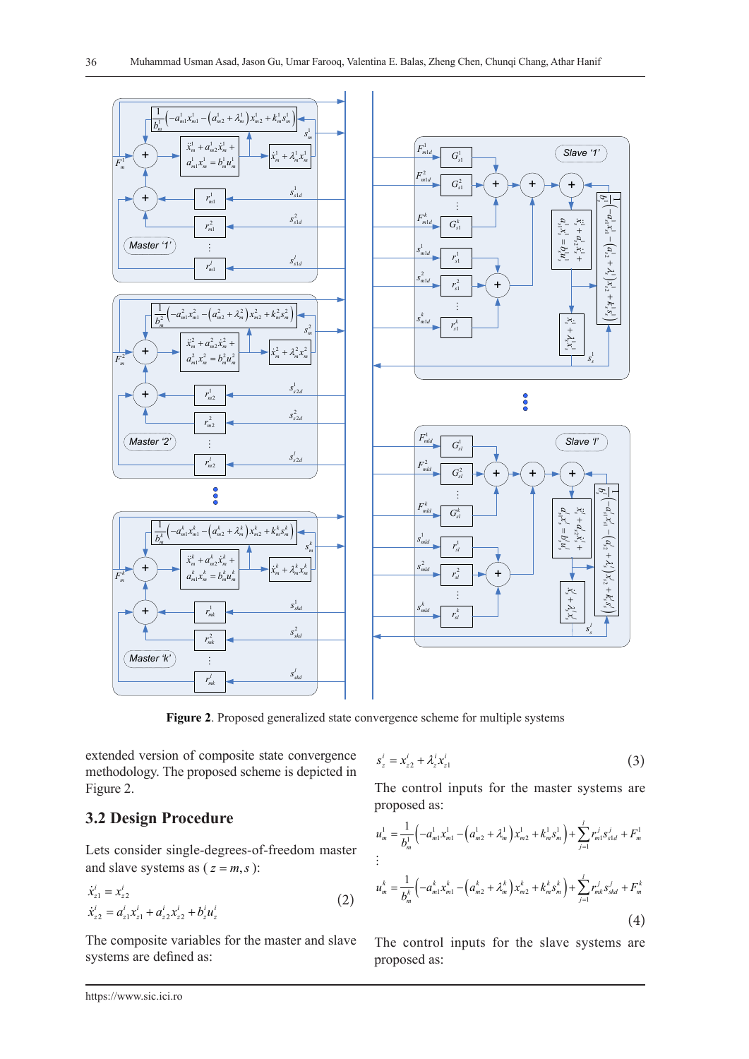

**Figure 2**. Proposed generalized state convergence scheme for multiple systems

extended version of composite state convergence methodology. The proposed scheme is depicted in Figure 2.

## **3.2 Design Procedure**

Lets consider single-degrees-of-freedom master and slave systems as  $(z = m, s)$ :

$$
\dot{x}_{z1}^i = x_{z2}^i
$$
\n
$$
\dot{x}_{z2}^i = a_{z1}^i x_{z1}^i + a_{z2}^i x_{z2}^i + b_z^i u_z^i
$$
\n(2)

The composite variables for the master and slave systems are defined as:

$$
s_z^i = x_{z2}^i + \lambda_z^i x_{z1}^i
$$
 (3)

The control inputs for the master systems are proposed as:

$$
u_m^1 = \frac{1}{b_m^1} \left( -a_m^1 x_m^1 - \left( a_m^1 z + \lambda_m^1 \right) x_{m2}^1 + k_m^1 s_m^1 \right) + \sum_{j=1}^l r_m^j s_{sld}^j + F_m^1
$$
  
\n
$$
\vdots
$$
  
\n
$$
u_m^k = \frac{1}{b_m^k} \left( -a_m^k x_m^k - \left( a_m^k z + \lambda_m^k \right) x_{m2}^k + k_m^k s_m^k \right) + \sum_{j=1}^l r_{mk}^j s_{std}^j + F_m^k
$$
  
\n(4)

The control inputs for the slave systems are proposed as: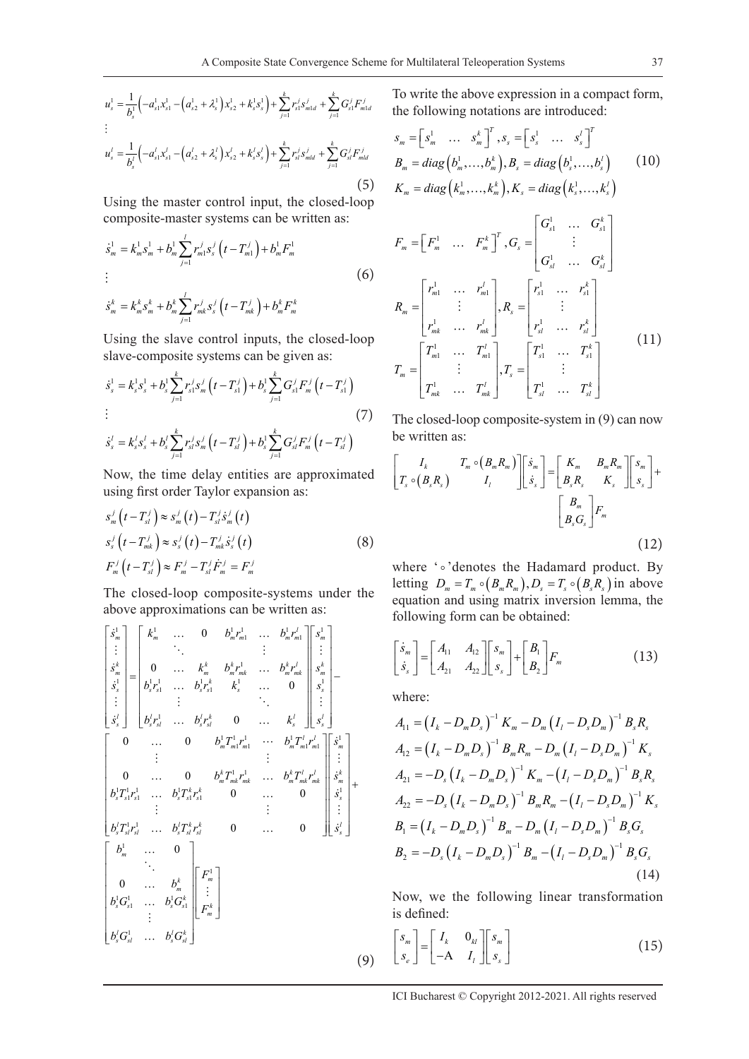$$
u_s^1 = \frac{1}{b_s^1} \left( -a_{s1}^1 x_{s1}^1 - \left( a_{s2}^1 + \lambda_s^1 \right) x_{s2}^1 + k_s^1 s_s^1 \right) + \sum_{j=1}^k r_s^j s_{m1d}^j + \sum_{j=1}^k G_{s1}^j F_{m1d}^j
$$
  
\n
$$
\vdots
$$
  
\n
$$
u_s^l = \frac{1}{b_s^l} \left( -a_{s1}^l x_{s1}^l - \left( a_{s2}^l + \lambda_s^l \right) x_{s2}^l + k_s^l s_s^l \right) + \sum_{j=1}^k r_s^j s_{m1d}^j + \sum_{j=1}^k G_{s1}^j F_{m1d}^j
$$
  
\n(5)

Using the master control input, the closed-loop composite-master systems can be written as:

$$
\dot{s}_{m}^{1} = k_{m}^{1} s_{m}^{1} + b_{m}^{1} \sum_{j=1}^{l} r_{m1}^{j} s_{s}^{j} \left( t - T_{m1}^{j} \right) + b_{m}^{1} F_{m}^{1}
$$
\n
$$
\vdots
$$
\n
$$
\dot{s}_{m}^{k} = k_{m}^{k} s_{m}^{k} + b_{m}^{k} \sum_{j=1}^{l} r_{mk}^{j} s_{s}^{j} \left( t - T_{mk}^{j} \right) + b_{m}^{k} F_{m}^{k}
$$
\n(6)

Using the slave control inputs, the closed-loop slave-composite systems can be given as:

$$
\dot{s}_s^1 = k_s^1 s_s^1 + b_s^1 \sum_{j=1}^k r_s^j s_m^j \left( t - T_{s1}^j \right) + b_s^1 \sum_{j=1}^k G_{s1}^j F_m^j \left( t - T_{s1}^j \right)
$$
\n
$$
\vdots
$$
\n
$$
\dot{s}_s^j = k_s^j s_s^j + k_s^j \sum_{j=1}^k r_s^j s_s^j \left( t - T_s^j \right) + k_s^1 \sum_{j=1}^k C_j^j F_j^j \left( t - T_s^j \right)
$$
\n
$$
(7)
$$

$$
\dot{s}_{s}^{l} = k_{s}^{l} s_{s}^{l} + b_{s}^{l} \sum_{j=1}^{K} r_{s}^{j} s_{m}^{j} (t - T_{s}^{j}) + b_{s}^{l} \sum_{j=1}^{K} G_{s}^{j} F_{m}^{j} (t - T_{s}^{j})
$$

Now, the time delay entities are approximated using first order Taylor expansion as:

$$
s_m^j(t - T_{sl}^j) \approx s_m^j(t) - T_{sl}^j \dot{s}_m^j(t)
$$
  
\n
$$
s_s^j(t - T_{mk}^j) \approx s_s^j(t) - T_{mk}^j \dot{s}_s^j(t)
$$
  
\n
$$
F_m^j(t - T_{sl}^j) \approx F_m^j - T_{sl}^j \dot{F}_m^j = F_m^j
$$
\n(8)

The closed-loop composite-systems under the above approximations can be written as:

1 1 1 1 1 1 1 1 1 1 11 1 1 1 1 1 1 111 1 1 1 1 0 0 0 0 0 0 *l m m m m mm m k k k kl k m m m mk m mk m k s ss ss s s l l l k l l s s sl s sl s s l mm m m m s k br br s s k br br s s br br k s s br br k s bT r bT* <sup>=</sup> <sup>−</sup> <sup>1</sup> 1 1 1 1 11 1 1 1 1 1 1 1 1 1 11 1 1 1 1 0 0 0 0 0 0 0 0 *l m m k kl l k m mk mk m mk mk m k k sss ss s s l l kk l s sl sl s sl sl s m k m k ss ss l l k s sl s sl r s bT r bT r s bT r bT r s bT r bT r s b b bG bG bG bG* <sup>+</sup> 1 *m k m F F* (9)

To write the above expression in a compact form, the following notations are introduced:

$$
s_{m} = [s_{m}^{1} \dots s_{m}^{k}]^{T}, s_{s} = [s_{s}^{1} \dots s_{s}^{l}]^{T}
$$
  
\n
$$
B_{m} = diag(b_{m}^{1},...,b_{m}^{k}), B_{s} = diag(b_{s}^{1},...,b_{s}^{l})
$$
  
\n
$$
K_{m} = diag(k_{m}^{1},...,k_{m}^{k}), K_{s} = diag(k_{s}^{1},...,k_{s}^{l})
$$
\n(10)

$$
F_{m} = \begin{bmatrix} F_{m}^{1} & \cdots & F_{m}^{k} \end{bmatrix}^{T}, G_{s} = \begin{bmatrix} G_{s1}^{1} & \cdots & G_{s1}^{k} \\ \vdots & & \vdots \\ G_{s1}^{1} & \cdots & G_{s1}^{k} \end{bmatrix}
$$

$$
R_{m} = \begin{bmatrix} r_{m1}^{1} & \cdots & r_{m1}^{l} \\ \vdots & & \vdots \\ r_{mk}^{1} & \cdots & r_{mk}^{l} \end{bmatrix}, R_{s} = \begin{bmatrix} r_{s1}^{1} & \cdots & r_{s1}^{k} \\ \vdots & & \vdots \\ r_{s1}^{1} & \cdots & r_{s1}^{k} \end{bmatrix}
$$

$$
T_{m} = \begin{bmatrix} T_{m1}^{1} & \cdots & T_{m1}^{l} \\ \vdots & & \vdots \\ T_{mk}^{1} & \cdots & T_{mk}^{l} \end{bmatrix}, T_{s} = \begin{bmatrix} T_{s1}^{1} & \cdots & T_{s1}^{k} \\ \vdots & & \vdots \\ T_{s1}^{1} & \cdots & T_{ss}^{k} \end{bmatrix}
$$
(11)

The closed-loop composite-system in (9) can now be written as:

$$
\begin{bmatrix} I_k & T_m \circ (B_m R_m) \ \ \begin{bmatrix} S_s & I_l \end{bmatrix} & \begin{bmatrix} S_m \ S_s \end{bmatrix} = \begin{bmatrix} K_m & B_m R_m \ B_s R_s & K_s \end{bmatrix} \begin{bmatrix} S_m \ S_s \end{bmatrix} + \begin{bmatrix} B_m \ B_s G_s \end{bmatrix} F_m
$$
\n(12)

where ' o' denotes the Hadamard product. By letting  $D_m = T_m \circ (B_m R_m)$ ,  $D_s = T_s \circ (B_s R_s)$  in above equation and using matrix inversion lemma, the following form can be obtained:

$$
\begin{bmatrix} \dot{s}_m \\ \dot{s}_s \end{bmatrix} = \begin{bmatrix} A_{11} & A_{12} \\ A_{21} & A_{22} \end{bmatrix} \begin{bmatrix} s_m \\ s_s \end{bmatrix} + \begin{bmatrix} B_1 \\ B_2 \end{bmatrix} F_m \tag{13}
$$

where:

$$
A_{11} = (I_k - D_m D_s)^{-1} K_m - D_m (I_l - D_s D_m)^{-1} B_s R_s
$$
  
\n
$$
A_{12} = (I_k - D_m D_s)^{-1} B_m R_m - D_m (I_l - D_s D_m)^{-1} K_s
$$
  
\n
$$
A_{21} = -D_s (I_k - D_m D_s)^{-1} K_m - (I_l - D_s D_m)^{-1} B_s R_s
$$
  
\n
$$
A_{22} = -D_s (I_k - D_m D_s)^{-1} B_m R_m - (I_l - D_s D_m)^{-1} K_s
$$
  
\n
$$
B_1 = (I_k - D_m D_s)^{-1} B_m - D_m (I_l - D_s D_m)^{-1} B_s G_s
$$
  
\n
$$
B_2 = -D_s (I_k - D_m D_s)^{-1} B_m - (I_l - D_s D_m)^{-1} B_s G_s
$$
  
\n(14)

Now, we the following linear transformation is defined:

$$
\begin{bmatrix} s_m \\ s_e \end{bmatrix} = \begin{bmatrix} I_k & 0_{kl} \\ -A & I_l \end{bmatrix} \begin{bmatrix} s_m \\ s_s \end{bmatrix}
$$
 (15)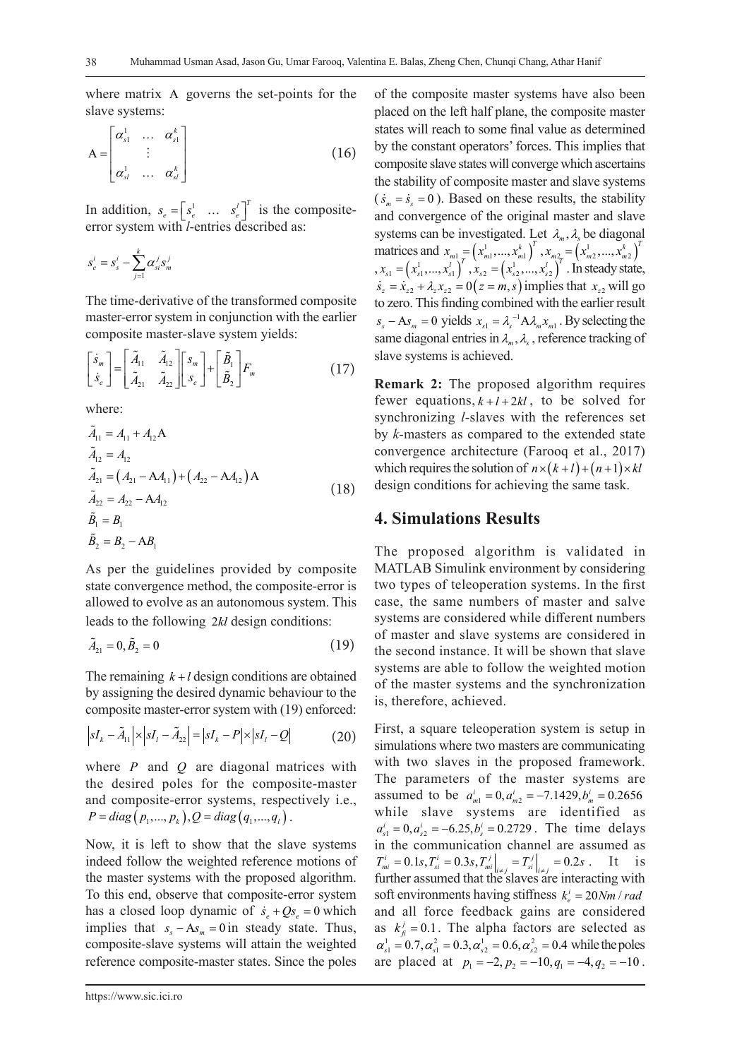where matrix Α governs the set-points for the slave systems:

$$
A = \begin{bmatrix} \alpha_{s1}^1 & \cdots & \alpha_{s1}^k \\ \vdots & & \vdots \\ \alpha_{sl}^1 & \cdots & \alpha_{sl}^k \end{bmatrix}
$$
 (16)

In addition,  $s_e = \begin{bmatrix} s_e^1 & \dots & s_e^l \end{bmatrix}^T$  is the compositeerror system with *l*-entries described as:

$$
S_e^i = S_s^i - \sum_{j=1}^k \alpha_{si}^j S_m^j
$$

The time-derivative of the transformed composite master-error system in conjunction with the earlier composite master-slave system yields:

$$
\begin{bmatrix} \dot{s}_m \\ \dot{s}_e \end{bmatrix} = \begin{bmatrix} \tilde{A}_{11} & \tilde{A}_{12} \\ \tilde{A}_{21} & \tilde{A}_{22} \end{bmatrix} \begin{bmatrix} s_m \\ s_e \end{bmatrix} + \begin{bmatrix} \tilde{B}_1 \\ \tilde{B}_2 \end{bmatrix} F_m \tag{17}
$$

where:

$$
\tilde{A}_{11} = A_{11} + A_{12}A \n\tilde{A}_{12} = A_{12} \n\tilde{A}_{21} = (A_{21} - AA_{11}) + (A_{22} - AA_{12})A \n\tilde{A}_{22} = A_{22} - AA_{12} \n\tilde{B}_1 = B_1
$$
\n(18)

$$
\tilde{B}_2 = B_2 - AB_1
$$

As per the guidelines provided by composite state convergence method, the composite-error is allowed to evolve as an autonomous system. This leads to the following 2*kl* design conditions:

$$
\tilde{A}_{21} = 0, \tilde{B}_2 = 0 \tag{19}
$$

The remaining  $k+l$  design conditions are obtained by assigning the desired dynamic behaviour to the composite master-error system with (19) enforced:

$$
\left| sI_{k} - \tilde{A}_{11} \right| \times \left| sI_{l} - \tilde{A}_{22} \right| = \left| sI_{k} - P \right| \times \left| sI_{l} - Q \right| \tag{20}
$$

where *P* and *Q* are diagonal matrices with the desired poles for the composite-master and composite-error systems, respectively i.e.,  $P = diag(p_1, ..., p_k), Q = diag(q_1, ..., q_l)$ .

Now, it is left to show that the slave systems indeed follow the weighted reference motions of the master systems with the proposed algorithm. To this end, observe that composite-error system has a closed loop dynamic of  $\dot{s}_e + Qs_e = 0$  which implies that  $s_{s} - As_{m} = 0$  in steady state. Thus, composite-slave systems will attain the weighted reference composite-master states. Since the poles

of the composite master systems have also been placed on the left half plane, the composite master states will reach to some final value as determined by the constant operators' forces. This implies that composite slave states will converge which ascertains the stability of composite master and slave systems  $(\dot{s}_m = \dot{s}_s = 0)$ . Based on these results, the stability and convergence of the original master and slave systems can be investigated. Let  $\lambda_n$ ,  $\lambda_k$  be diagonal matrices and  $x_{m1} = ( x_{m1}^1, ..., x_{m1}^k )^T, x_{m2} = ( x_{m2}^1, ..., x_{m2}^k )^T$  $x_{s1} = (x_{s1}^1, ..., x_{s1}^l)^T, x_{s2} = (x_{s2}^1, ..., x_{s2}^l)^T$ . In steady state,  $\dot{s}_z = \dot{x}_{z2} + \lambda_z x_{z2} = 0 (z = m, s)$  implies that  $x_{z2}$  will go to zero. This finding combined with the earlier result  $s_s - As_m = 0$  yields  $x_{s1} = \lambda_s^{-1} A \lambda_m x_{m1}$ . By selecting the same diagonal entries in  $\lambda_{m}$ ,  $\lambda_{s}$ , reference tracking of slave systems is achieved.

**Remark 2:** The proposed algorithm requires fewer equations,  $k+l+2kl$ , to be solved for synchronizing *l*-slaves with the references set by *k*-masters as compared to the extended state convergence architecture (Farooq et al., 2017) which requires the solution of  $n \times (k+l) + (n+1) \times kl$ design conditions for achieving the same task.

### **4. Simulations Results**

The proposed algorithm is validated in MATLAB Simulink environment by considering two types of teleoperation systems. In the first case, the same numbers of master and salve systems are considered while different numbers of master and slave systems are considered in the second instance. It will be shown that slave systems are able to follow the weighted motion of the master systems and the synchronization is, therefore, achieved.

First, a square teleoperation system is setup in simulations where two masters are communicating with two slaves in the proposed framework. The parameters of the master systems are assumed to be  $a_{m1}^i = 0$ ,  $a_{m2}^i = -7.1429$ ,  $b_m^i = 0.2656$ while slave systems are identified as  $a_{s1}^{i} = 0, a_{s2}^{i} = -6.25, b_{s}^{i} = 0.2729$ . The time delays in the communication channel are assumed as  $T_{\text{on}}^i = 0.1 \text{s}, T_{\text{si}}^i = 0.3 \text{s}, T_{\text{mi}}^j \bigg|_{i \neq j} = T_{\text{si}}^j \bigg|_{i \neq j} = 0.2 \text{s}.$  It is further assumed that the slaves are interacting with soft environments having stiffness  $k_e^i = 20 Nm / rad$ and all force feedback gains are considered as  $k_j^j = 0.1$ . The alpha factors are selected as  $\alpha^1 = 0.7 \alpha^2 = 0.3 \alpha^1 = 0.6 \alpha^2 = 0.4$  while the poles  $\alpha_{s1}^1 = 0.7, \alpha_{s1}^2 = 0.3, \alpha_{s2}^1 = 0.6, \alpha_{s2}^2 = 0.4$  while the poles are placed at  $p_1 = -2$ ,  $p_2 = -10$ ,  $q_1 = -4$ ,  $q_2 = -10$ .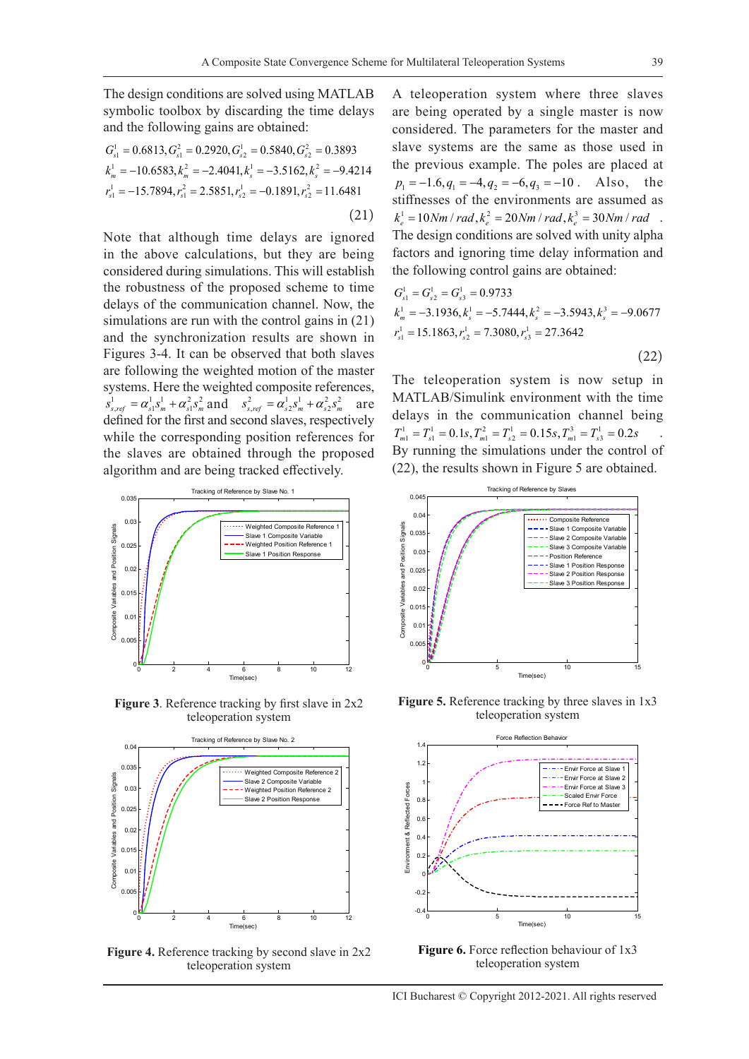The design conditions are solved using MATLAB symbolic toolbox by discarding the time delays and the following gains are obtained:

$$
G_{s1}^{1} = 0.6813, G_{s1}^{2} = 0.2920, G_{s2}^{1} = 0.5840, G_{s2}^{2} = 0.3893
$$
  
\n
$$
k_m^{1} = -10.6583, k_m^{2} = -2.4041, k_s^{1} = -3.5162, k_s^{2} = -9.4214
$$
  
\n
$$
r_{s1}^{1} = -15.7894, r_{s1}^{2} = 2.5851, r_{s2}^{1} = -0.1891, r_{s2}^{2} = 11.6481
$$
  
\n(21)

Note that although time delays are ignored in the above calculations, but they are being considered during simulations. This will establish the robustness of the proposed scheme to time delays of the communication channel. Now, the simulations are run with the control gains in (21) and the synchronization results are shown in Figures 3-4. It can be observed that both slaves are following the weighted motion of the master systems. Here the weighted composite references,  $s_{s,ref}^1 = \alpha_{s1}^1 s_m^1 + \alpha_{s1}^2 s_m^2$  and  $s_{s,ref}^2 = \alpha_{s2}^1 s_m^1 + \alpha_{s2}^2 s_m^2$  are defined for the first and second slaves, respectively while the corresponding position references for the slaves are obtained through the proposed algorithm and are being tracked effectively.



**Figure 3**. Reference tracking by first slave in 2x2 teleoperation system



**Figure 4.** Reference tracking by second slave in 2x2 teleoperation system

A teleoperation system where three slaves are being operated by a single master is now considered. The parameters for the master and slave systems are the same as those used in the previous example. The poles are placed at  $p_1 = -1.6, q_1 = -4, q_2 = -6, q_3 = -10$ . Also, the stiffnesses of the environments are assumed as  $k_e^1 = 10 Nm / rad, k_e^2 = 20 Nm / rad, k_e^3 = 30 Nm / rad$ . The design conditions are solved with unity alpha factors and ignoring time delay information and the following control gains are obtained:

$$
G_{s1}^{1} = G_{s2}^{1} = G_{s3}^{1} = 0.9733
$$
  
\n
$$
k_m^{1} = -3.1936, k_s^{1} = -5.7444, k_s^{2} = -3.5943, k_s^{3} = -9.0677
$$
  
\n
$$
r_{s1}^{1} = 15.1863, r_{s2}^{1} = 7.3080, r_{s3}^{1} = 27.3642
$$
\n(22)

The teleoperation system is now setup in MATLAB/Simulink environment with the time delays in the communication channel being  $T_{m1}^1 = T_{s1}^1 = 0.1s, T_{m1}^2 = T_{s2}^1 = 0.15s, T_{m1}^3 = T_{s3}^1 = 0.2s$  . By running the simulations under the control of (22), the results shown in Figure 5 are obtained.



Figure 5. Reference tracking by three slaves in 1x3 teleoperation system



**Figure 6.** Force reflection behaviour of 1x3 teleoperation system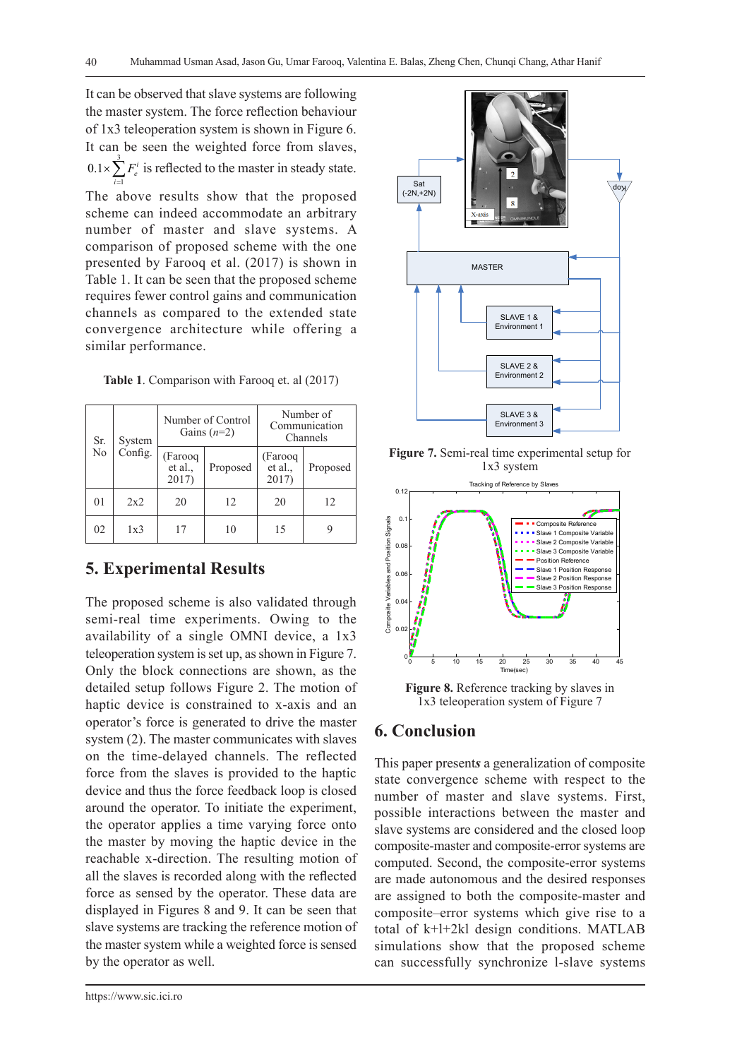It can be observed that slave systems are following the master system. The force reflection behaviour of 1x3 teleoperation system is shown in Figure 6. It can be seen the weighted force from slaves, 1  $0.1 \times \sum F_e^i$  is reflected to the master in steady state. *i* = The above results show that the proposed scheme can indeed accommodate an arbitrary number of master and slave systems. A comparison of proposed scheme with the one presented by Farooq et al. (2017) is shown in Table 1. It can be seen that the proposed scheme requires fewer control gains and communication channels as compared to the extended state convergence architecture while offering a

| Sr.<br>N <sub>0</sub> | System<br>Config. | Number of Control<br>Gains $(n=2)$ |          | Number of<br>Communication<br>Channels |          |
|-----------------------|-------------------|------------------------------------|----------|----------------------------------------|----------|
|                       |                   | (Farooq<br>et al.,<br>2017)        | Proposed | (Farooq<br>et al.,<br>2017)            | Proposed |
| 0 <sub>1</sub>        | 2x2               | 20                                 | 12       | 20                                     | 12       |
| 02                    | 1x3               | 17                                 | 10       | 15                                     |          |

**Table 1**. Comparison with Farooq et. al (2017)

## **5. Experimental Results**

similar performance.

The proposed scheme is also validated through semi-real time experiments. Owing to the availability of a single OMNI device, a 1x3 teleoperation system is set up, as shown in Figure 7. Only the block connections are shown, as the detailed setup follows Figure 2. The motion of haptic device is constrained to x-axis and an operator's force is generated to drive the master system (2). The master communicates with slaves on the time-delayed channels. The reflected force from the slaves is provided to the haptic device and thus the force feedback loop is closed around the operator. To initiate the experiment, the operator applies a time varying force onto the master by moving the haptic device in the reachable x-direction. The resulting motion of all the slaves is recorded along with the reflected force as sensed by the operator. These data are displayed in Figures 8 and 9. It can be seen that slave systems are tracking the reference motion of the master system while a weighted force is sensed by the operator as well.



**Figure 7.** Semi-real time experimental setup for 1x3 system



**Figure 8.** Reference tracking by slaves in 1x3 teleoperation system of Figure 7

## **6. Conclusion**

This paper present*s* a generalization of composite state convergence scheme with respect to the number of master and slave systems. First, possible interactions between the master and slave systems are considered and the closed loop composite-master and composite-error systems are computed. Second, the composite-error systems are made autonomous and the desired responses are assigned to both the composite-master and composite–error systems which give rise to a total of k+l+2kl design conditions. MATLAB simulations show that the proposed scheme can successfully synchronize l-slave systems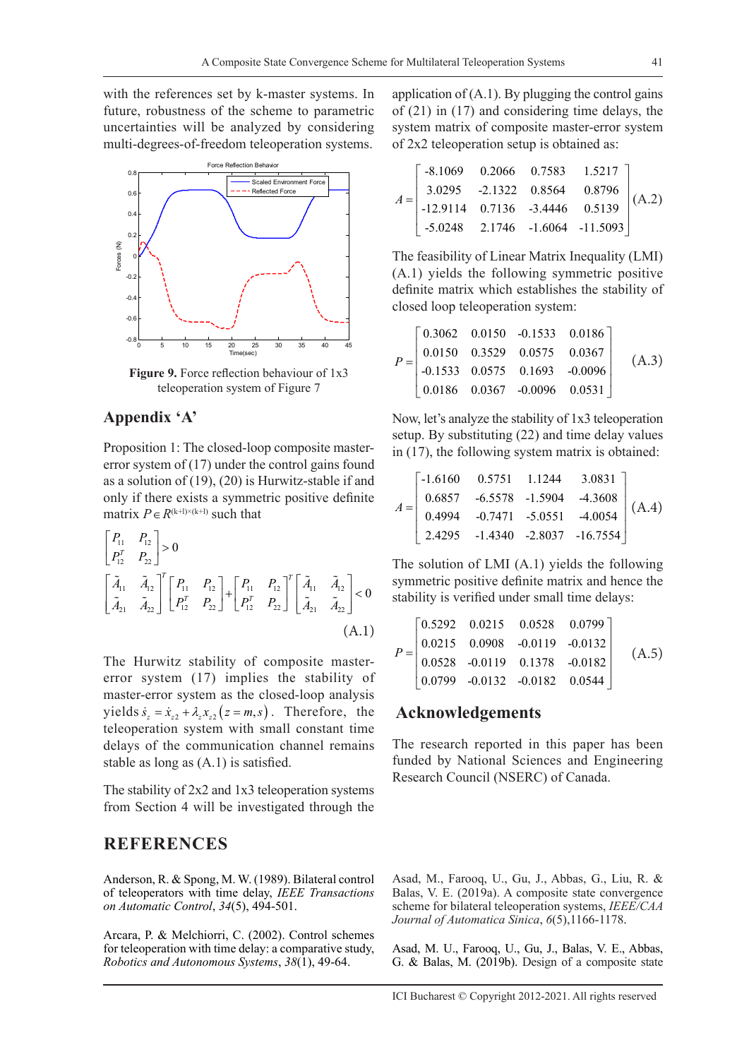with the references set by k-master systems. In future, robustness of the scheme to parametric uncertainties will be analyzed by considering multi-degrees-of-freedom teleoperation systems.



**Figure 9.** Force reflection behaviour of 1x3 teleoperation system of Figure 7

## **Appendix 'A'**

Proposition 1: The closed-loop composite mastererror system of (17) under the control gains found as a solution of (19), (20) is Hurwitz-stable if and only if there exists a symmetric positive definite matrix  $P \in R^{(k+1)\times(k+1)}$  such that

$$
\begin{bmatrix} P_{11} & P_{12} \\ P_{12}^T & P_{22} \end{bmatrix} > 0
$$
\n
$$
\begin{bmatrix} \tilde{A}_{11} & \tilde{A}_{12} \\ \tilde{A}_{21} & \tilde{A}_{22} \end{bmatrix}^T \begin{bmatrix} P_{11} & P_{12} \\ P_{12}^T & P_{22} \end{bmatrix} + \begin{bmatrix} P_{11} & P_{12} \\ P_{12}^T & P_{22} \end{bmatrix}^T \begin{bmatrix} \tilde{A}_{11} & \tilde{A}_{12} \\ \tilde{A}_{21} & \tilde{A}_{22} \end{bmatrix} < 0
$$
\n
$$
(A.1)
$$

The Hurwitz stability of composite mastererror system (17) implies the stability of master-error system as the closed-loop analysis yields  $\dot{s}_z = \dot{x}_{z2} + \lambda_z x_{z2}$  ( $z = m, s$ ). Therefore, the teleoperation system with small constant time delays of the communication channel remains stable as long as (A.1) is satisfied.

The stability of 2x2 and 1x3 teleoperation systems from Section 4 will be investigated through the

#### **REFERENCES**

Anderson, R. & Spong, M. W. (1989). Bilateral control of teleoperators with time delay, *IEEE Transactions on Automatic Control*, *34*(5), 494-501.

Arcara, P. & Melchiorri, C. (2002). Control schemes for teleoperation with time delay: a comparative study, *Robotics and Autonomous Systems*, *38*(1), 49-64.

application of  $(A.1)$ . By plugging the control gains of (21) in (17) and considering time delays, the system matrix of composite master-error system of 2x2 teleoperation setup is obtained as:

$$
A = \begin{bmatrix} -8.1069 & 0.2066 & 0.7583 & 1.5217 \\ 3.0295 & -2.1322 & 0.8564 & 0.8796 \\ -12.9114 & 0.7136 & -3.4446 & 0.5139 \\ -5.0248 & 2.1746 & -1.6064 & -11.5093 \end{bmatrix} (A.2)
$$

The feasibility of Linear Matrix Inequality (LMI) (A.1) yields the following symmetric positive definite matrix which establishes the stability of closed loop teleoperation system:

$$
P = \begin{bmatrix} 0.3062 & 0.0150 & -0.1533 & 0.0186 \\ 0.0150 & 0.3529 & 0.0575 & 0.0367 \\ -0.1533 & 0.0575 & 0.1693 & -0.0096 \\ 0.0186 & 0.0367 & -0.0096 & 0.0531 \end{bmatrix}
$$
 (A.3)

Now, let's analyze the stability of 1x3 teleoperation setup. By substituting (22) and time delay values in (17), the following system matrix is obtained:

$$
A = \begin{bmatrix} -1.6160 & 0.5751 & 1.1244 & 3.0831 \\ 0.6857 & -6.5578 & -1.5904 & -4.3608 \\ 0.4994 & -0.7471 & -5.0551 & -4.0054 \\ 2.4295 & -1.4340 & -2.8037 & -16.7554 \end{bmatrix} (A.4)
$$

The solution of LMI (A.1) yields the following symmetric positive definite matrix and hence the stability is verified under small time delays:

$$
P = \begin{bmatrix} 0.5292 & 0.0215 & 0.0528 & 0.0799 \\ 0.0215 & 0.0908 & -0.0119 & -0.0132 \\ 0.0528 & -0.0119 & 0.1378 & -0.0182 \\ 0.0799 & -0.0132 & -0.0182 & 0.0544 \end{bmatrix}
$$
 (A.5)

#### **Acknowledgements**

The research reported in this paper has been funded by National Sciences and Engineering Research Council (NSERC) of Canada.

Asad, M., Farooq, U., Gu, J., Abbas, G., Liu, R. & Balas, V. E. (2019a). A composite state convergence scheme for bilateral teleoperation systems, *IEEE/CAA Journal of Automatica Sinica*, *6*(5),1166-1178.

Asad, M. U., Farooq, U., Gu, J., Balas, V. E., Abbas, G. & Balas, M. (2019b). Design of a composite state